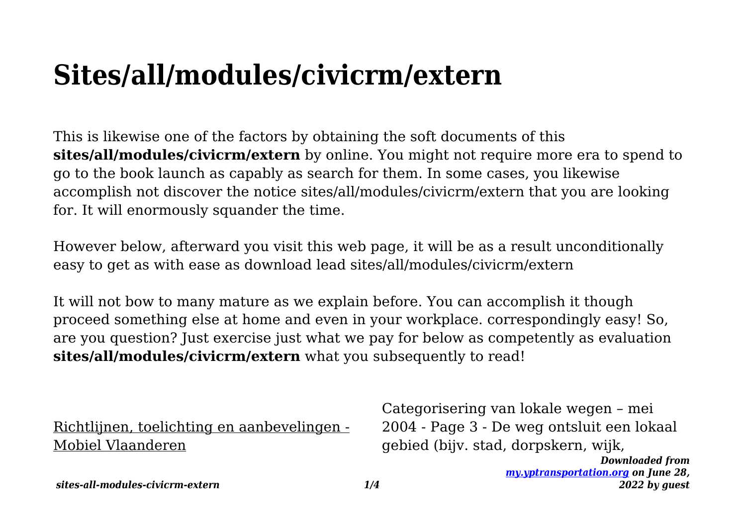# **Sites/all/modules/civicrm/extern**

This is likewise one of the factors by obtaining the soft documents of this **sites/all/modules/civicrm/extern** by online. You might not require more era to spend to go to the book launch as capably as search for them. In some cases, you likewise accomplish not discover the notice sites/all/modules/civicrm/extern that you are looking for. It will enormously squander the time.

However below, afterward you visit this web page, it will be as a result unconditionally easy to get as with ease as download lead sites/all/modules/civicrm/extern

It will not bow to many mature as we explain before. You can accomplish it though proceed something else at home and even in your workplace. correspondingly easy! So, are you question? Just exercise just what we pay for below as competently as evaluation **sites/all/modules/civicrm/extern** what you subsequently to read!

Richtlijnen, toelichting en aanbevelingen - Mobiel Vlaanderen

Categorisering van lokale wegen – mei 2004 - Page 3 - De weg ontsluit een lokaal gebied (bijv. stad, dorpskern, wijk,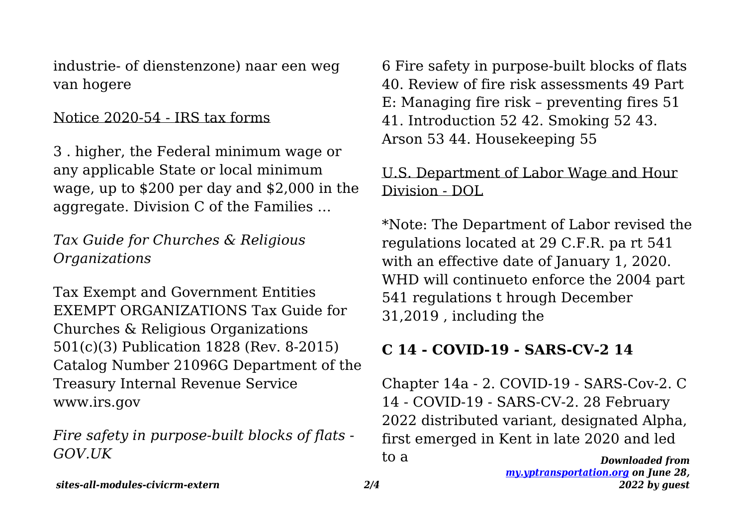industrie- of dienstenzone) naar een weg van hogere

#### Notice 2020-54 - IRS tax forms

3 . higher, the Federal minimum wage or any applicable State or local minimum wage, up to \$200 per day and \$2,000 in the aggregate. Division C of the Families …

*Tax Guide for Churches & Religious Organizations*

Tax Exempt and Government Entities EXEMPT ORGANIZATIONS Tax Guide for Churches & Religious Organizations 501(c)(3) Publication 1828 (Rev. 8-2015) Catalog Number 21096G Department of the Treasury Internal Revenue Service www.irs.gov

*Fire safety in purpose-built blocks of flats - GOV.UK*

6 Fire safety in purpose-built blocks of flats 40. Review of fire risk assessments 49 Part E: Managing fire risk – preventing fires 51 41. Introduction 52 42. Smoking 52 43. Arson 53 44. Housekeeping 55

#### U.S. Department of Labor Wage and Hour Division - DOL

\*Note: The Department of Labor revised the regulations located at 29 C.F.R. pa rt 541 with an effective date of January 1, 2020. WHD will continueto enforce the 2004 part 541 regulations t hrough December 31,2019 , including the

#### **C 14 - COVID-19 - SARS-CV-2 14**

*Downloaded from* Chapter 14a - 2. COVID-19 - SARS-Cov-2. C 14 - COVID-19 - SARS-CV-2. 28 February 2022 distributed variant, designated Alpha, first emerged in Kent in late 2020 and led to a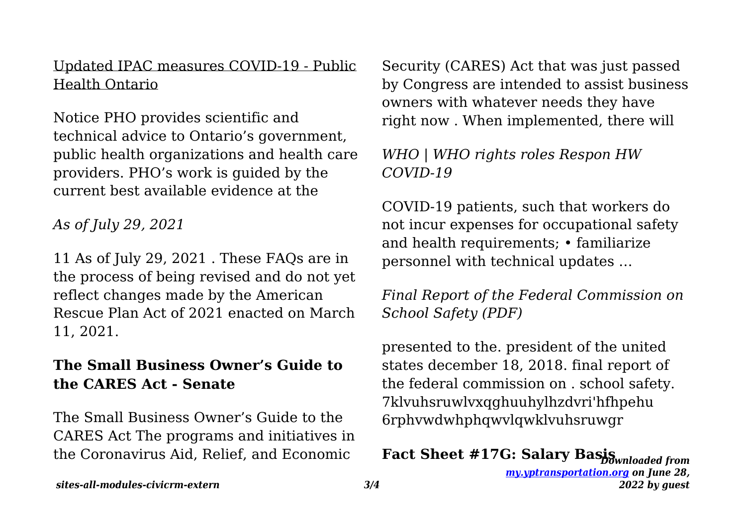#### Updated IPAC measures COVID-19 - Public Health Ontario

Notice PHO provides scientific and technical advice to Ontario's government, public health organizations and health care providers. PHO's work is guided by the current best available evidence at the

*As of July 29, 2021*

11 As of July 29, 2021 . These FAQs are in the process of being revised and do not yet reflect changes made by the American Rescue Plan Act of 2021 enacted on March 11, 2021.

#### **The Small Business Owner's Guide to the CARES Act - Senate**

The Small Business Owner's Guide to the CARES Act The programs and initiatives in the Coronavirus Aid, Relief, and Economic

Security (CARES) Act that was just passed by Congress are intended to assist business owners with whatever needs they have right now . When implemented, there will

### *WHO | WHO rights roles Respon HW COVID-19*

COVID-19 patients, such that workers do not incur expenses for occupational safety and health requirements; • familiarize personnel with technical updates …

*Final Report of the Federal Commission on School Safety (PDF)*

presented to the. president of the united states december 18, 2018. final report of the federal commission on . school safety. 7klvuhsruwlvxqghuuhylhzdvri'hfhpehu 6rphvwdwhphqwvlqwklvuhsruwgr

## *Downloaded from* **Fact Sheet #17G: Salary Basis**

*[my.yptransportation.org](http://my.yptransportation.org) on June 28, 2022 by guest*